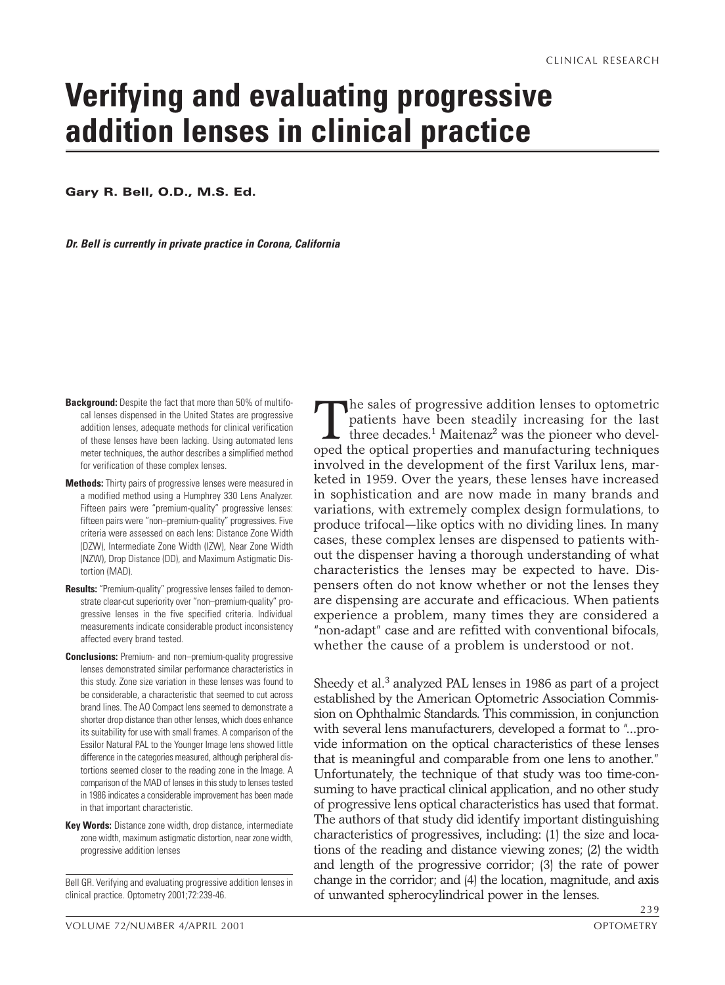# **Verifying and evaluating progressive addition lenses in clinical practice**

**Gary R. Bell, O.D., M.S. Ed.**

*Dr. Bell is currently in private practice in Corona, California*

- **Background:** Despite the fact that more than 50% of multifocal lenses dispensed in the United States are progressive addition lenses, adequate methods for clinical verification of these lenses have been lacking. Using automated lens meter techniques, the author describes a simplified method for verification of these complex lenses.
- **Methods:** Thirty pairs of progressive lenses were measured in a modified method using a Humphrey 330 Lens Analyzer. Fifteen pairs were "premium-quality" progressive lenses: fifteen pairs were "non–premium-quality" progressives. Five criteria were assessed on each lens: Distance Zone Width (DZW), Intermediate Zone Width (IZW), Near Zone Width (NZW), Drop Distance (DD), and Maximum Astigmatic Distortion (MAD).
- **Results:** "Premium-quality" progressive lenses failed to demonstrate clear-cut superiority over "non–premium-quality" progressive lenses in the five specified criteria. Individual measurements indicate considerable product inconsistency affected every brand tested.
- **Conclusions:** Premium- and non–premium-quality progressive lenses demonstrated similar performance characteristics in this study. Zone size variation in these lenses was found to be considerable, a characteristic that seemed to cut across brand lines. The AO Compact lens seemed to demonstrate a shorter drop distance than other lenses, which does enhance its suitability for use with small frames. A comparison of the Essilor Natural PAL to the Younger Image lens showed little difference in the categories measured, although peripheral distortions seemed closer to the reading zone in the Image. A comparison of the MAD of lenses in this study to lenses tested in 1986 indicates a considerable improvement has been made in that important characteristic.
- **Key Words:** Distance zone width, drop distance, intermediate zone width, maximum astigmatic distortion, near zone width, progressive addition lenses

Bell GR. Verifying and evaluating progressive addition lenses in clinical practice. Optometry 2001;72:239-46.

The sales of progressive addition lenses to optometric<br>patients have been steadily increasing for the last<br>three decades.<sup>1</sup> Maitenaz<sup>2</sup> was the pioneer who devel-<br>oned the optical properties and manufacturing techniques patients have been steadily increasing for the last three decades.<sup>1</sup> Maitenaz<sup>2</sup> was the pioneer who developed the optical properties and manufacturing techniques involved in the development of the first Varilux lens, marketed in 1959. Over the years, these lenses have increased in sophistication and are now made in many brands and variations, with extremely complex design formulations, to produce trifocal—like optics with no dividing lines. In many cases, these complex lenses are dispensed to patients without the dispenser having a thorough understanding of what characteristics the lenses may be expected to have. Dispensers often do not know whether or not the lenses they are dispensing are accurate and efficacious. When patients experience a problem, many times they are considered a "non-adapt" case and are refitted with conventional bifocals, whether the cause of a problem is understood or not.

Sheedy et al.<sup>3</sup> analyzed PAL lenses in 1986 as part of a project established by the American Optometric Association Commission on Ophthalmic Standards. This commission, in conjunction with several lens manufacturers, developed a format to "...provide information on the optical characteristics of these lenses that is meaningful and comparable from one lens to another." Unfortunately, the technique of that study was too time-consuming to have practical clinical application, and no other study of progressive lens optical characteristics has used that format. The authors of that study did identify important distinguishing characteristics of progressives, including: (1) the size and locations of the reading and distance viewing zones; (2) the width and length of the progressive corridor; (3) the rate of power change in the corridor; and (4) the location, magnitude, and axis of unwanted spherocylindrical power in the lenses.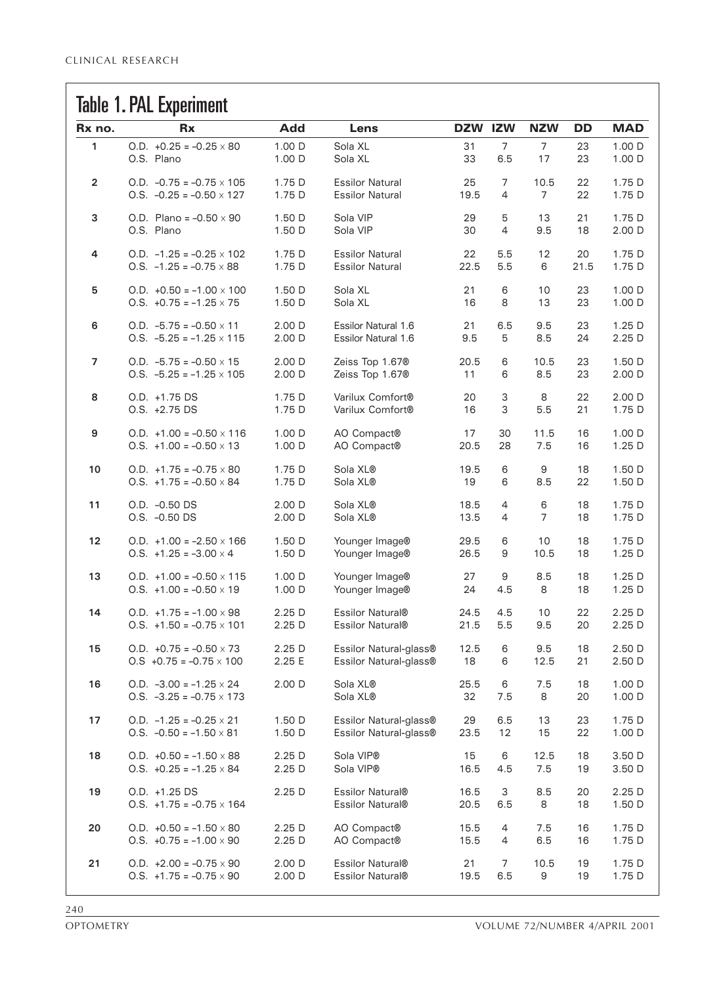### Tahlo 1 PAI Evnorimont

|        | <b>IGDIC 1.1 AL LAPGIIIIICIII</b>                                 |                   |                                      |              |                |                |          |                  |
|--------|-------------------------------------------------------------------|-------------------|--------------------------------------|--------------|----------------|----------------|----------|------------------|
| Rx no. | <b>Rx</b>                                                         | <b>Add</b>        | Lens                                 | DZW IZW      |                | <b>NZW</b>     | DD       | <b>MAD</b>       |
| 1      | O.D. $+0.25 = -0.25 \times 80$                                    | 1.00 D            | Sola XL                              | 31           | $\overline{7}$ | $\overline{7}$ | 23       | 1.00 D           |
|        | O.S. Plano                                                        | 1.00 D            | Sola XL                              | 33           | 6.5            | 17             | 23       | 1.00 D           |
| 2      | $0.D. -0.75 = -0.75 \times 105$                                   | 1.75 D            | <b>Essilor Natural</b>               | 25           | 7              | 10.5           | 22       | 1.75 D           |
|        | $0.5. -0.25 = -0.50 \times 127$                                   | 1.75 D            | <b>Essilor Natural</b>               | 19.5         | $\overline{4}$ | 7              | 22       | 1.75 D           |
| 3      | O.D. Plano = $-0.50 \times 90$                                    | 1.50 D            | Sola VIP                             | 29           | 5              | 13             | 21       | 1.75 D           |
|        | O.S. Plano                                                        | 1.50 D            | Sola VIP                             | 30           | 4              | 9.5            | 18       | 2.00 D           |
| 4      | $0.D. -1.25 = -0.25 \times 102$                                   | 1.75 D            | <b>Essilor Natural</b>               | 22           | 5.5            | 12             | 20       | 1.75 D           |
|        | $0.5. -1.25 = -0.75 \times 88$                                    | 1.75 D            | <b>Essilor Natural</b>               | 22.5         | 5.5            | 6              | 21.5     | 1.75 D           |
| 5      | O.D. $+0.50 = -1.00 \times 100$                                   | 1.50 D            | Sola XL                              | 21           | 6              | 10             | 23       | 1.00 D           |
|        | $0.5. +0.75 = -1.25 \times 75$                                    | 1.50 D            | Sola XL                              | 16           | 8              | 13             | 23       | 1.00 D           |
| 6      | $0.D. -5.75 = -0.50 \times 11$                                    | 2.00 D            | <b>Essilor Natural 1.6</b>           | 21           | 6.5            | 9.5            | 23       | 1.25D            |
|        | $0.5. -5.25 = -1.25 \times 115$                                   | 2.00 D            | Essilor Natural 1.6                  | 9.5          | 5              | 8.5            | 24       | 2.25 D           |
| 7      | $0.D. -5.75 = -0.50 \times 15$                                    | 2.00 D            | Zeiss Top 1.67®                      | 20.5         | 6              | 10.5           | 23       | 1.50 D           |
|        | $0.5. -5.25 = -1.25 \times 105$                                   | 2.00 D            | Zeiss Top 1.67®                      | 11           | 6              | 8.5            | 23       | 2.00 D           |
| 8      | O.D. +1.75 DS                                                     | 1.75 D            | Varilux Comfort®                     | 20           | 3              | 8              | 22       | 2.00 D           |
|        | O.S. +2.75 DS                                                     | 1.75 D            | Varilux Comfort®                     | 16           | 3              | 5.5            | 21       | 1.75 D           |
| 9      | O.D. $+1.00 = -0.50 \times 116$                                   | 1.00 D            | AO Compact®                          | 17           | 30             | 11.5           | 16       | 1.00 D           |
|        | $0.5. +1.00 = -0.50 \times 13$                                    | 1.00 D            | AO Compact®                          | 20.5         | 28             | 7.5            | 16       | 1.25D            |
| 10     | $0.D. +1.75 = -0.75 \times 80$                                    | 1.75 D            | Sola XL®                             | 19.5         | 6              | 9              | 18       | 1.50 D           |
|        | $0.5. +1.75 = -0.50 \times 84$                                    | 1.75 D            | Sola XL®                             | 19           | 6              | 8.5            | 22       | 1.50 D           |
| 11     | O.D. -0.50 DS                                                     | 2.00 D            | Sola XL®                             | 18.5         | 4              | 6              | 18       | 1.75 D           |
|        | O.S. -0.50 DS                                                     | 2.00 D            | Sola XL®                             | 13.5         | 4              | $\overline{7}$ | 18       | 1.75 D           |
| 12     | O.D. $+1.00 = -2.50 \times 166$                                   | 1.50 D            | Younger Image®                       | 29.5         | 6              | 10             | 18       | 1.75 D           |
|        | $0.5. +1.25 = -3.00 \times 4$                                     | 1.50 D            | Younger Image®                       | 26.5         | 9              | 10.5           | 18       | 1.25 D           |
| 13     | O.D. $+1.00 = -0.50 \times 115$                                   | 1.00 D            | Younger Image®                       | 27           | 9              | 8.5            | 18       | 1.25D            |
|        | $0.5. +1.00 = -0.50 \times 19$                                    | 1.00 D            | Younger Image®                       | 24           | 4.5            | 8              | 18       | 1.25D            |
| 14     | $0.D. +1.75 = -1.00 \times 98$                                    | 2.25D             | Essilor Natural®                     | 24.5         | 4.5            | 10             | 22       | 2.25 D           |
|        | $0.5. +1.50 = -0.75 \times 101$                                   | 2.25D             | Essilor Natural®                     | 21.5         | 5.5            | 9.5            | 20       | 2.25D            |
| 15     | O.D. $+0.75 = -0.50 \times 73$                                    | 2.25 D            | Essilor Natural-glass®               | 12.5         | 6              | 9.5            | 18       | 2.50 D           |
|        | $0.5 +0.75 = -0.75 \times 100$                                    | 2.25 E            | Essilor Natural-glass®               | 18           | 6              | 12.5           | 21       | 2.50 D           |
| 16     | O.D. $-3.00 = -1.25 \times 24$<br>$0.5. -3.25 = -0.75 \times 173$ | 2.00 D            | Sola XL®<br>Sola XL®                 | 25.5<br>32   | 6<br>7.5       | 7.5<br>8       | 18<br>20 | 1.00 D<br>1.00 D |
| 17     | $0.D. -1.25 = -0.25 \times 21$                                    | 1.50 D            | Essilor Natural-glass®               | 29           | 6.5            | 13             | 23       | 1.75 D           |
|        | $0.5. -0.50 = -1.50 \times 81$                                    | 1.50 D            | Essilor Natural-glass®               | 23.5         | 12             | 15             | 22       | 1.00 D           |
| 18     | O.D. $+0.50 = -1.50 \times 88$                                    | 2.25 <sub>D</sub> | Sola VIP®                            | 15           | 6              | 12.5           | 18       | 3.50 D           |
|        | $0.5. +0.25 = -1.25 \times 84$                                    | 2.25 D            | Sola VIP®                            | 16.5         | 4.5            | 7.5            | 19       | 3.50 D           |
| 19     | O.D. +1.25 DS<br>$0.5. +1.75 = -0.75 \times 164$                  | 2.25 D            | Essilor Natural®<br>Essilor Natural® | 16.5<br>20.5 | 3<br>$6.5\,$   | 8.5<br>8       | 20<br>18 | 2.25 D<br>1.50 D |
| 20     | O.D. $+0.50 = -1.50 \times 80$                                    | 2.25D             | AO Compact®                          | 15.5         | 4              | 7.5            | 16       | 1.75 D           |
|        | $0.5. +0.75 = -1.00 \times 90$                                    | 2.25 D            | AO Compact®                          | 15.5         | 4              | $6.5\,$        | 16       | 1.75 D           |
| 21     | O.D. $+2.00 = -0.75 \times 90$                                    | 2.00 D            | Essilor Natural®                     | 21           | 7              | 10.5           | 19       | 1.75 D           |
|        | $0.5. +1.75 = -0.75 \times 90$                                    | 2.00 D            | Essilor Natural®                     | 19.5         | 6.5            | 9              | 19       | 1.75 D           |
|        |                                                                   |                   |                                      |              |                |                |          |                  |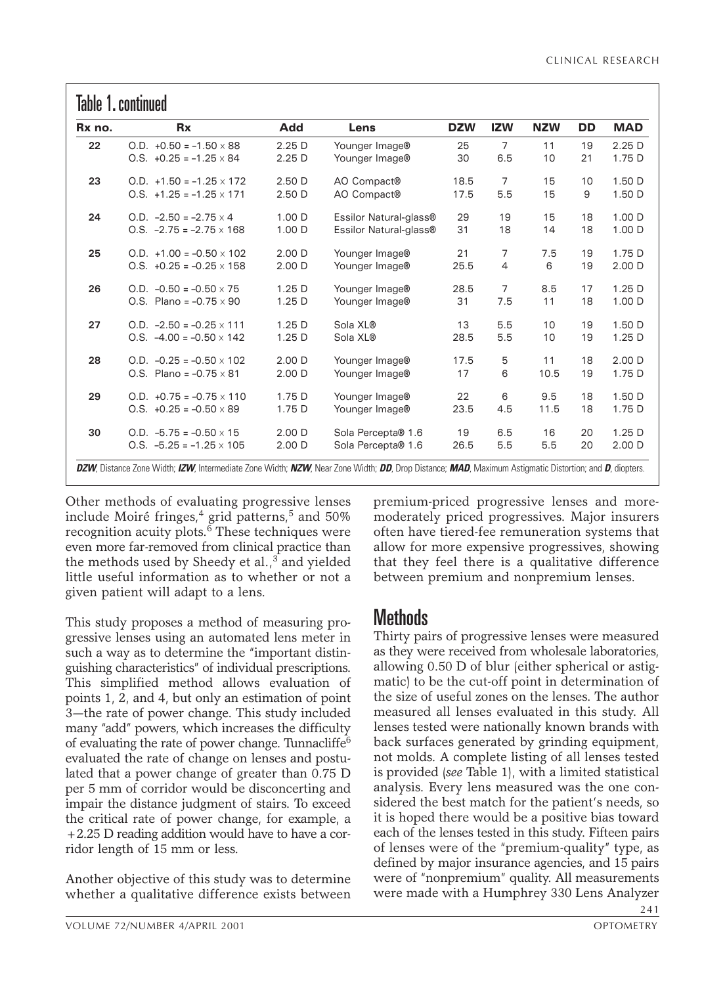| Rx no. | <b>Rx</b>                       | Add               | Lens                   | <b>DZW</b> | <b>IZW</b>     | <b>NZW</b> | <b>DD</b> | <b>MAD</b>        |
|--------|---------------------------------|-------------------|------------------------|------------|----------------|------------|-----------|-------------------|
| 22     | $0.D. +0.50 = -1.50 \times 88$  | 2.25D             | Younger Image®         | 25         | $\overline{7}$ | 11         | 19        | 2.25D             |
|        | $0.5. +0.25 = -1.25 \times 84$  | 2.25D             | Younger Image®         | 30         | 6.5            | 10         | 21        | 1.75 D            |
| 23     | $0.D. +1.50 = -1.25 \times 172$ | 2.50D             | AO Compact®            | 18.5       | $\overline{7}$ | 15         | 10        | 1.50 D            |
|        | $0.5. +1.25 = -1.25 \times 171$ | 2.50 <sub>D</sub> | AO Compact®            | 17.5       | 5.5            | 15         | 9         | 1.50 D            |
| 24     | $0.D. -2.50 = -2.75 \times 4$   | 1.00 D            | Essilor Natural-glass® | 29         | 19             | 15         | 18        | 1.00 D            |
|        | $0.5. -2.75 = -2.75 \times 168$ | 1.00 D            | Essilor Natural-glass® | 31         | 18             | 14         | 18        | 1.00 D            |
| 25     | $0.D. +1.00 = -0.50 \times 102$ | 2.00 <sub>D</sub> | Younger Image®         | 21         | $\overline{7}$ | 7.5        | 19        | 1.75 D            |
|        | $0.5. +0.25 = -0.25 \times 158$ | 2.00 <sub>D</sub> | Younger Image®         | 25.5       | $\overline{4}$ | 6          | 19        | 2.00 D            |
| 26     | $Q.D. -0.50 = -0.50 \times 75$  | 1.25D             | Younger Image®         | 28.5       | $\overline{7}$ | 8.5        | 17        | 1.25D             |
|        | O.S. Plano = $-0.75 \times 90$  | 1.25D             | Younger Image®         | 31         | 7.5            | 11         | 18        | 1.00 D            |
| 27     | $0.D. -2.50 = -0.25 \times 111$ | 1.25 <sub>D</sub> | Sola XL®               | 13         | 5.5            | 10         | 19        | 1.50 D            |
|        | $0.5. -4.00 = -0.50 \times 142$ | 1.25D             | Sola XL®               | 28.5       | 5.5            | 10         | 19        | 1.25D             |
| 28     | $0.D. -0.25 = -0.50 \times 102$ | 2.00 <sub>D</sub> | Younger Image®         | 17.5       | 5              | 11         | 18        | 2.00 <sub>D</sub> |
|        | O.S. Plano = $-0.75 \times 81$  | 2.00 D            | Younger Image®         | 17         | 6              | 10.5       | 19        | 1.75 D            |
| 29     | $0.D. +0.75 = -0.75 \times 110$ | 1.75 D            | Younger Image®         | 22         | 6              | 9.5        | 18        | 1.50 D            |
|        | $0.5. +0.25 = -0.50 \times 89$  | 1.75 D            | Younger Image®         | 23.5       | 4.5            | 11.5       | 18        | 1.75 D            |
| 30     | $0.D. -5.75 = -0.50 \times 15$  | 2.00 <sub>D</sub> | Sola Percepta® 1.6     | 19         | 6.5            | 16         | 20        | 1.25D             |
|        | $0.5. -5.25 = -1.25 \times 105$ | 2.00 D            | Sola Percepta® 1.6     | 26.5       | 5.5            | 5.5        | 20        | 2.00 D            |

Other methods of evaluating progressive lenses include Moiré fringes,<sup>4</sup> grid patterns,<sup>5</sup> and 50% recognition acuity plots. $^6$  These techniques were even more far-removed from clinical practice than the methods used by Sheedy et al., $3$  and yielded little useful information as to whether or not a given patient will adapt to a lens.

This study proposes a method of measuring progressive lenses using an automated lens meter in such a way as to determine the "important distinguishing characteristics" of individual prescriptions. This simplified method allows evaluation of points 1, 2, and 4, but only an estimation of point 3—the rate of power change. This study included many "add" powers, which increases the difficulty of evaluating the rate of power change. Tunnacliffe<sup>6</sup> evaluated the rate of change on lenses and postulated that a power change of greater than 0.75 D per 5 mm of corridor would be disconcerting and impair the distance judgment of stairs. To exceed the critical rate of power change, for example, a +2.25 D reading addition would have to have a corridor length of 15 mm or less.

Another objective of this study was to determine whether a qualitative difference exists between premium-priced progressive lenses and moremoderately priced progressives. Major insurers often have tiered-fee remuneration systems that allow for more expensive progressives, showing that they feel there is a qualitative difference between premium and nonpremium lenses.

### Methods

Thirty pairs of progressive lenses were measured as they were received from wholesale laboratories, allowing 0.50 D of blur (either spherical or astigmatic) to be the cut-off point in determination of the size of useful zones on the lenses. The author measured all lenses evaluated in this study. All lenses tested were nationally known brands with back surfaces generated by grinding equipment, not molds. A complete listing of all lenses tested is provided (*see* Table 1), with a limited statistical analysis. Every lens measured was the one considered the best match for the patient's needs, so it is hoped there would be a positive bias toward each of the lenses tested in this study. Fifteen pairs of lenses were of the "premium-quality" type, as defined by major insurance agencies, and 15 pairs were of "nonpremium" quality. All measurements were made with a Humphrey 330 Lens Analyzer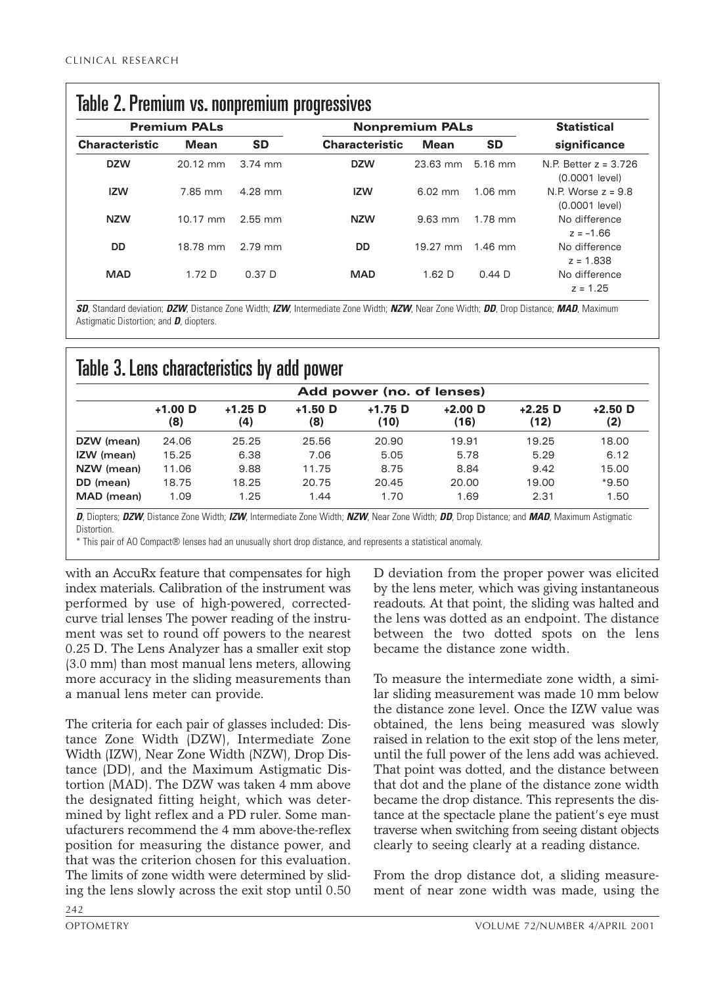| <b>Premium PALs</b>   |                   |                   | <b>Nonpremium PALs</b> | <b>Statistical</b> |           |                                           |  |
|-----------------------|-------------------|-------------------|------------------------|--------------------|-----------|-------------------------------------------|--|
| <b>Characteristic</b> | <b>Mean</b>       | <b>SD</b>         | <b>Characteristic</b>  | <b>Mean</b>        | <b>SD</b> | significance                              |  |
| <b>DZW</b>            | 20.12 mm          | $3.74$ mm         | <b>DZW</b>             | 23.63 mm           | 5.16 mm   | N.P. Better $z = 3.726$<br>(0.0001 level) |  |
| <b>IZW</b>            | 7.85 mm           | 4.28 mm           | <b>IZW</b>             | $6.02$ mm          | $1.06$ mm | N.P. Worse $z = 9.8$<br>(0.0001 level)    |  |
| <b>NZW</b>            | 10.17 mm          | $2.55$ mm         | <b>NZW</b>             | $9.63$ mm          | 1.78 mm   | No difference<br>$z = -1.66$              |  |
| <b>DD</b>             | 18.78 mm          | 2.79 mm           | <b>DD</b>              | 19.27 mm           | $1.46$ mm | No difference<br>$z = 1.838$              |  |
| <b>MAD</b>            | 1.72 <sub>D</sub> | 0.37 <sub>D</sub> | <b>MAD</b>             | 1.62 <sub>D</sub>  | 0.44D     | No difference<br>$z = 1.25$               |  |

*SD*, Standard deviation; *DZW*, Distance Zone Width; *IZW*, Intermediate Zone Width; *NZW*, Near Zone Width; *DD*, Drop Distance; *MAD*, Maximum Astigmatic Distortion; and *D*, diopters.

## Table 3. Lens characteristics by add power

|            | Add power (no. of lenses) |                  |                  |                   |                   |                   |                  |  |  |
|------------|---------------------------|------------------|------------------|-------------------|-------------------|-------------------|------------------|--|--|
|            | $+1.00$ D<br>(8)          | $+1.25$ D<br>(4) | $+1.50$ D<br>(8) | $+1.75$ D<br>(10) | $+2.00$ D<br>(16) | $+2.25$ D<br>(12) | $+2.50$ D<br>(2) |  |  |
| DZW (mean) | 24.06                     | 25.25            | 25.56            | 20.90             | 19.91             | 19.25             | 18.00            |  |  |
| IZW (mean) | 15.25                     | 6.38             | 7.06             | 5.05              | 5.78              | 5.29              | 6.12             |  |  |
| NZW (mean) | 11.06                     | 9.88             | 11.75            | 8.75              | 8.84              | 9.42              | 15.00            |  |  |
| DD (mean)  | 18.75                     | 18.25            | 20.75            | 20.45             | 20.00             | 19.00             | $*9.50$          |  |  |
| MAD (mean) | 1.09                      | 1.25             | 1.44             | 1.70              | 1.69              | 2.31              | 1.50             |  |  |

*D*, Diopters; *DZW*, Distance Zone Width; *IZW*, Intermediate Zone Width; *NZW*, Near Zone Width; *DD*, Drop Distance; and *MAD*, Maximum Astigmatic **Distortion** 

\* This pair of AO Compact® lenses had an unusually short drop distance, and represents a statistical anomaly.

with an AccuRx feature that compensates for high index materials. Calibration of the instrument was performed by use of high-powered, correctedcurve trial lenses The power reading of the instrument was set to round off powers to the nearest 0.25 D. The Lens Analyzer has a smaller exit stop (3.0 mm) than most manual lens meters, allowing more accuracy in the sliding measurements than a manual lens meter can provide.

The criteria for each pair of glasses included: Distance Zone Width (DZW), Intermediate Zone Width (IZW), Near Zone Width (NZW), Drop Distance (DD), and the Maximum Astigmatic Distortion (MAD). The DZW was taken 4 mm above the designated fitting height, which was determined by light reflex and a PD ruler. Some manufacturers recommend the 4 mm above-the-reflex position for measuring the distance power, and that was the criterion chosen for this evaluation. The limits of zone width were determined by sliding the lens slowly across the exit stop until 0.50

D deviation from the proper power was elicited by the lens meter, which was giving instantaneous readouts. At that point, the sliding was halted and the lens was dotted as an endpoint. The distance between the two dotted spots on the lens became the distance zone width.

To measure the intermediate zone width, a similar sliding measurement was made 10 mm below the distance zone level. Once the IZW value was obtained, the lens being measured was slowly raised in relation to the exit stop of the lens meter, until the full power of the lens add was achieved. That point was dotted, and the distance between that dot and the plane of the distance zone width became the drop distance. This represents the distance at the spectacle plane the patient's eye must traverse when switching from seeing distant objects clearly to seeing clearly at a reading distance.

From the drop distance dot, a sliding measurement of near zone width was made, using the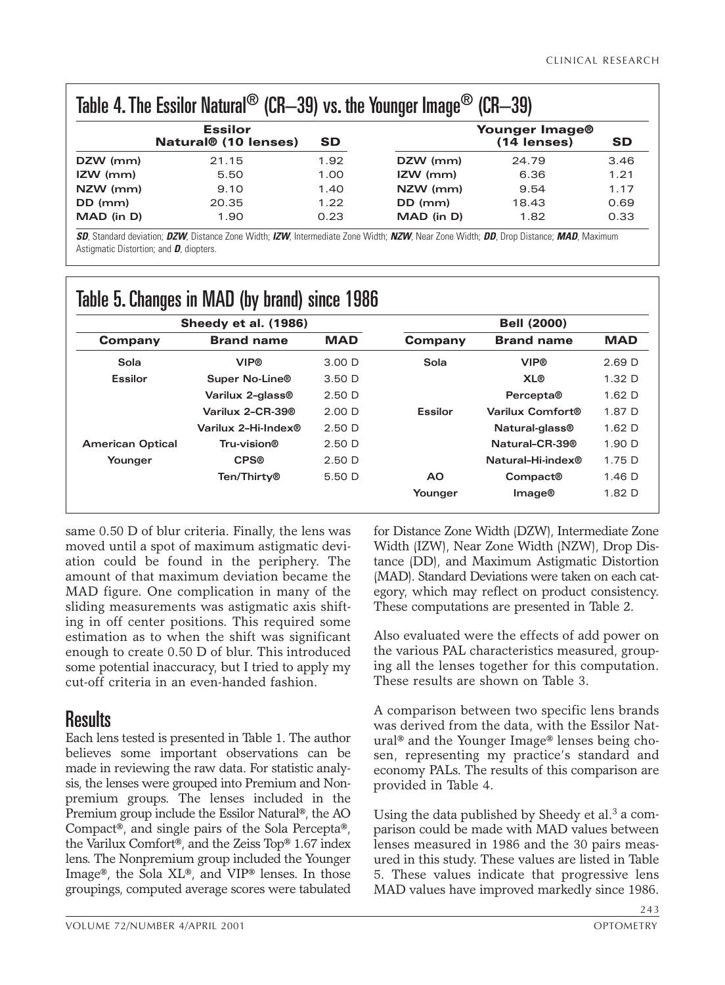| Table 4. The Essilor Natural <sup>®</sup> (CR-39) vs. the Younger Image <sup>®</sup><br>$(CR-39)$ |           |            |                               |           |  |  |  |  |
|---------------------------------------------------------------------------------------------------|-----------|------------|-------------------------------|-----------|--|--|--|--|
| <b>Essilor</b><br><b>Natural® (10 lenses)</b>                                                     | <b>SD</b> |            | Younger Image®<br>(14 lenses) | <b>SD</b> |  |  |  |  |
| 21.15                                                                                             | 1.92      | DZW (mm)   | 24.79                         | 3.46      |  |  |  |  |
| 5.50                                                                                              | 1.00      | $IZW$ (mm) | 6.36                          | 1.21      |  |  |  |  |
| 9.10                                                                                              | 1.40      | NZW (mm)   | 9.54                          | 1.17      |  |  |  |  |
| 20.35                                                                                             | 1.22      | DD (mm)    | 18.43                         | 0.69      |  |  |  |  |
| 1.90                                                                                              | 0.23      | MAD (in D) | 1.82                          | 0.33      |  |  |  |  |
|                                                                                                   |           |            |                               |           |  |  |  |  |

*SD*, Standard deviation; *DZW*, Distance Zone Width; *IZW*, Intermediate Zone Width; *NZW*, Near Zone Width; *DD*, Drop Distance; *MAD*, Maximum Astigmatic Distortion; and *D*, diopters.

|                         | Sheedy et al. (1986)  | <b>Bell (2000)</b> |                |                            |                   |
|-------------------------|-----------------------|--------------------|----------------|----------------------------|-------------------|
| Company                 | <b>Brand name</b>     | <b>MAD</b>         | Company        | <b>Brand name</b>          | <b>MAD</b>        |
| Sola                    | <b>VIP®</b>           | 3.00 <sub>D</sub>  | Sola           | <b>VIP®</b>                | 2.69 <sub>D</sub> |
| <b>Essilor</b>          | <b>Super No-Line®</b> | 3.50 <sub>D</sub>  |                | <b>XL®</b>                 | 1.32 <sub>D</sub> |
|                         | Varilux 2-glass®      | 2.50 <sub>D</sub>  |                | Percepta®                  | 1.62 <sub>D</sub> |
|                         | Varilux 2-CR-39®      | 2.00 <sub>D</sub>  | <b>Essilor</b> | Varilux Comfort®           | 1.87 D            |
|                         | Varilux 2-Hi-Index®   | 2.50 <sub>D</sub>  |                | Natural-glass <sup>®</sup> | 1.62 <sub>D</sub> |
| <b>American Optical</b> | Tru-vision®           | 2.50 <sub>D</sub>  |                | Natural-CR-39®             | 1.90 D            |
| Younger                 | <b>CPS®</b>           | 2.50 <sub>D</sub>  |                | Natural-Hi-index®          | 1.75D             |
|                         | Ten/Thirty®           | 5.50 D             | AO.            | Compact®                   | 1.46 <sub>D</sub> |
|                         |                       |                    | Younger        | Image@                     | 1.82 D            |

# Table 5. Changes in MAD (by brand) since 1986

same 0.50 D of blur criteria. Finally, the lens was moved until a spot of maximum astigmatic deviation could be found in the periphery. The amount of that maximum deviation became the MAD figure. One complication in many of the sliding measurements was astigmatic axis shifting in off center positions. This required some estimation as to when the shift was significant enough to create 0.50 D of blur. This introduced some potential inaccuracy, but I tried to apply my cut-off criteria in an even-handed fashion.

### Results

Each lens tested is presented in Table 1. The author believes some important observations can be made in reviewing the raw data. For statistic analysis, the lenses were grouped into Premium and Nonpremium groups. The lenses included in the Premium group include the Essilor Natural®, the AO Compact®, and single pairs of the Sola Percepta®, the Varilux Comfort®, and the Zeiss Top® 1.67 index lens. The Nonpremium group included the Younger Image®, the Sola XL®, and VIP® lenses. In those groupings, computed average scores were tabulated

for Distance Zone Width (DZW), Intermediate Zone Width (IZW), Near Zone Width (NZW), Drop Distance (DD), and Maximum Astigmatic Distortion (MAD). Standard Deviations were taken on each category, which may reflect on product consistency. These computations are presented in Table 2.

Also evaluated were the effects of add power on the various PAL characteristics measured, grouping all the lenses together for this computation. These results are shown on Table 3.

A comparison between two specific lens brands was derived from the data, with the Essilor Natural® and the Younger Image® lenses being chosen, representing my practice's standard and economy PALs. The results of this comparison are provided in Table 4.

Using the data published by Sheedy et al. $3$  a comparison could be made with MAD values between lenses measured in 1986 and the 30 pairs measured in this study. These values are listed in Table 5. These values indicate that progressive lens MAD values have improved markedly since 1986.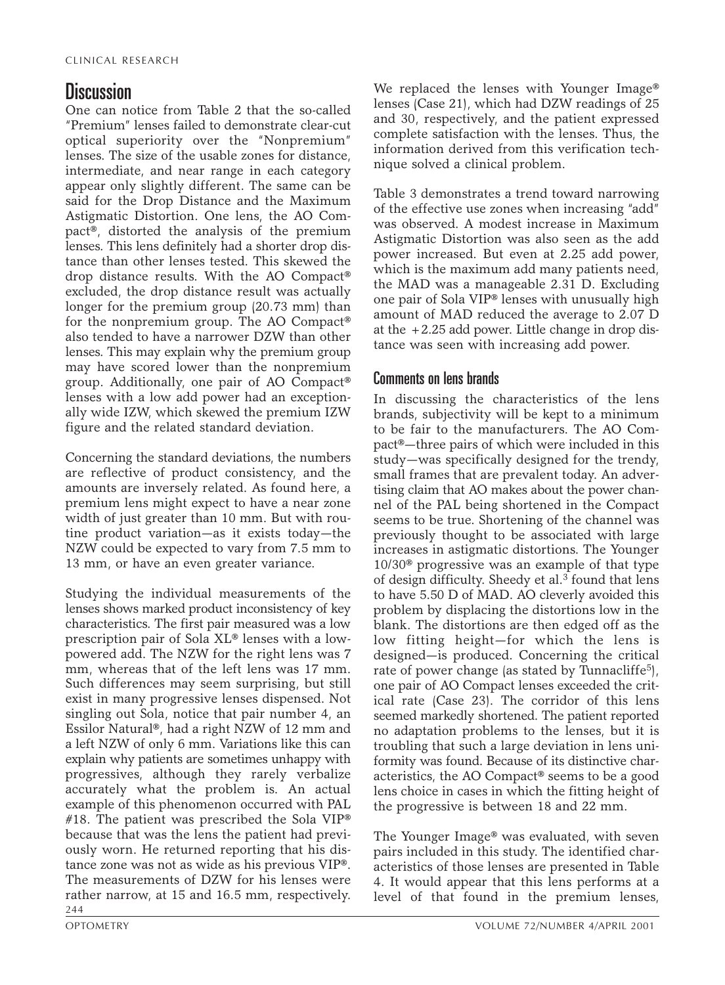### **Discussion**

One can notice from Table 2 that the so-called "Premium" lenses failed to demonstrate clear-cut optical superiority over the "Nonpremium" lenses. The size of the usable zones for distance, intermediate, and near range in each category appear only slightly different. The same can be said for the Drop Distance and the Maximum Astigmatic Distortion. One lens, the AO Compact®, distorted the analysis of the premium lenses. This lens definitely had a shorter drop distance than other lenses tested. This skewed the drop distance results. With the AO Compact® excluded, the drop distance result was actually longer for the premium group (20.73 mm) than for the nonpremium group. The AO Compact® also tended to have a narrower DZW than other lenses. This may explain why the premium group may have scored lower than the nonpremium group. Additionally, one pair of AO Compact® lenses with a low add power had an exceptionally wide IZW, which skewed the premium IZW figure and the related standard deviation.

Concerning the standard deviations, the numbers are reflective of product consistency, and the amounts are inversely related. As found here, a premium lens might expect to have a near zone width of just greater than 10 mm. But with routine product variation—as it exists today—the NZW could be expected to vary from 7.5 mm to 13 mm, or have an even greater variance.

Studying the individual measurements of the lenses shows marked product inconsistency of key characteristics. The first pair measured was a low prescription pair of Sola XL® lenses with a lowpowered add. The NZW for the right lens was 7 mm, whereas that of the left lens was 17 mm. Such differences may seem surprising, but still exist in many progressive lenses dispensed. Not singling out Sola, notice that pair number 4, an Essilor Natural®, had a right NZW of 12 mm and a left NZW of only 6 mm. Variations like this can explain why patients are sometimes unhappy with progressives, although they rarely verbalize accurately what the problem is. An actual example of this phenomenon occurred with PAL #18. The patient was prescribed the Sola VIP<sup>®</sup> because that was the lens the patient had previously worn. He returned reporting that his distance zone was not as wide as his previous VIP®. The measurements of DZW for his lenses were rather narrow, at 15 and 16.5 mm, respectively. 244

We replaced the lenses with Younger Image® lenses (Case 21), which had DZW readings of 25 and 30, respectively, and the patient expressed complete satisfaction with the lenses. Thus, the information derived from this verification technique solved a clinical problem.

Table 3 demonstrates a trend toward narrowing of the effective use zones when increasing "add" was observed. A modest increase in Maximum Astigmatic Distortion was also seen as the add power increased. But even at 2.25 add power, which is the maximum add many patients need, the MAD was a manageable 2.31 D. Excluding one pair of Sola VIP® lenses with unusually high amount of MAD reduced the average to 2.07 D at the  $+2.25$  add power. Little change in drop distance was seen with increasing add power.

#### Comments on lens brands

In discussing the characteristics of the lens brands, subjectivity will be kept to a minimum to be fair to the manufacturers. The AO Compact®—three pairs of which were included in this study—was specifically designed for the trendy, small frames that are prevalent today. An advertising claim that AO makes about the power channel of the PAL being shortened in the Compact seems to be true. Shortening of the channel was previously thought to be associated with large increases in astigmatic distortions. The Younger 10/30® progressive was an example of that type of design difficulty. Sheedy et al.<sup>3</sup> found that lens to have 5.50 D of MAD. AO cleverly avoided this problem by displacing the distortions low in the blank. The distortions are then edged off as the low fitting height—for which the lens is designed—is produced. Concerning the critical rate of power change (as stated by Tunnacliffe<sup>5</sup>), one pair of AO Compact lenses exceeded the critical rate (Case 23). The corridor of this lens seemed markedly shortened. The patient reported no adaptation problems to the lenses, but it is troubling that such a large deviation in lens uniformity was found. Because of its distinctive characteristics, the AO Compact® seems to be a good lens choice in cases in which the fitting height of the progressive is between 18 and 22 mm.

The Younger Image® was evaluated, with seven pairs included in this study. The identified characteristics of those lenses are presented in Table 4. It would appear that this lens performs at a level of that found in the premium lenses,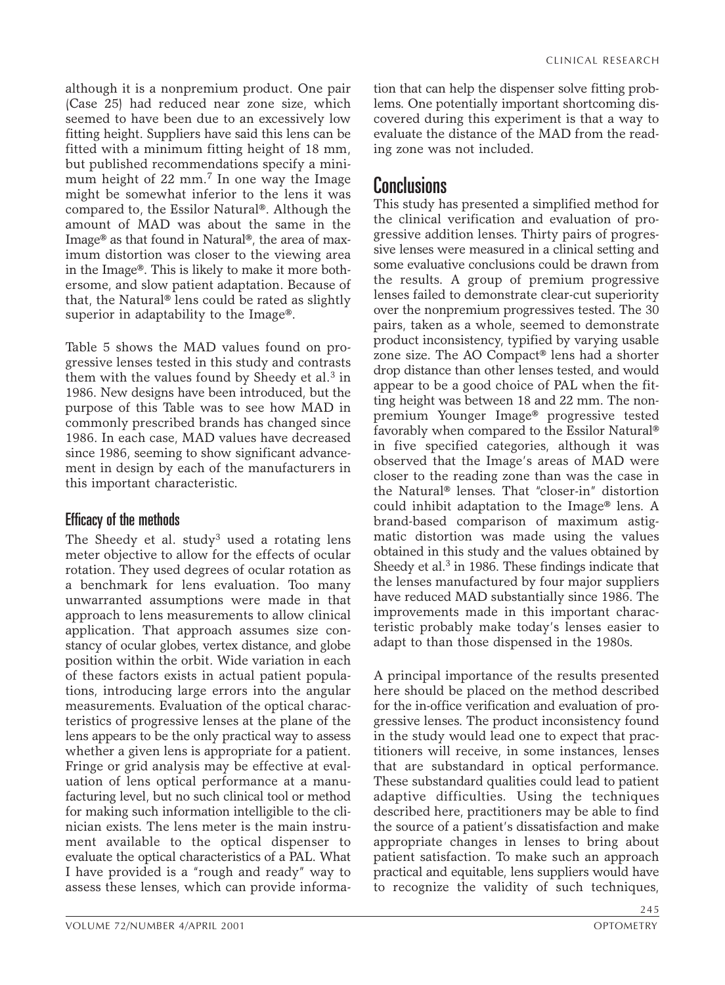although it is a nonpremium product. One pair (Case 25) had reduced near zone size, which seemed to have been due to an excessively low fitting height. Suppliers have said this lens can be fitted with a minimum fitting height of 18 mm, but published recommendations specify a minimum height of 22 mm.<sup>7</sup> In one way the Image might be somewhat inferior to the lens it was compared to, the Essilor Natural®. Although the amount of MAD was about the same in the Image® as that found in Natural®, the area of maximum distortion was closer to the viewing area in the Image®. This is likely to make it more bothersome, and slow patient adaptation. Because of that, the Natural® lens could be rated as slightly superior in adaptability to the Image®.

Table 5 shows the MAD values found on progressive lenses tested in this study and contrasts them with the values found by Sheedy et al. $3$  in 1986. New designs have been introduced, but the purpose of this Table was to see how MAD in commonly prescribed brands has changed since 1986. In each case, MAD values have decreased since 1986, seeming to show significant advancement in design by each of the manufacturers in this important characteristic.

#### Efficacy of the methods

The Sheedy et al. study<sup>3</sup> used a rotating lens meter objective to allow for the effects of ocular rotation. They used degrees of ocular rotation as a benchmark for lens evaluation. Too many unwarranted assumptions were made in that approach to lens measurements to allow clinical application. That approach assumes size constancy of ocular globes, vertex distance, and globe position within the orbit. Wide variation in each of these factors exists in actual patient populations, introducing large errors into the angular measurements. Evaluation of the optical characteristics of progressive lenses at the plane of the lens appears to be the only practical way to assess whether a given lens is appropriate for a patient. Fringe or grid analysis may be effective at evaluation of lens optical performance at a manufacturing level, but no such clinical tool or method for making such information intelligible to the clinician exists. The lens meter is the main instrument available to the optical dispenser to evaluate the optical characteristics of a PAL. What I have provided is a "rough and ready" way to assess these lenses, which can provide informa-

tion that can help the dispenser solve fitting problems. One potentially important shortcoming discovered during this experiment is that a way to evaluate the distance of the MAD from the reading zone was not included.

### Conclusions

This study has presented a simplified method for the clinical verification and evaluation of progressive addition lenses. Thirty pairs of progressive lenses were measured in a clinical setting and some evaluative conclusions could be drawn from the results. A group of premium progressive lenses failed to demonstrate clear-cut superiority over the nonpremium progressives tested. The 30 pairs, taken as a whole, seemed to demonstrate product inconsistency, typified by varying usable zone size. The AO Compact® lens had a shorter drop distance than other lenses tested, and would appear to be a good choice of PAL when the fitting height was between 18 and 22 mm. The nonpremium Younger Image® progressive tested favorably when compared to the Essilor Natural® in five specified categories, although it was observed that the Image's areas of MAD were closer to the reading zone than was the case in the Natural® lenses. That "closer-in" distortion could inhibit adaptation to the Image® lens. A brand-based comparison of maximum astigmatic distortion was made using the values obtained in this study and the values obtained by Sheedy et al. $3$  in 1986. These findings indicate that the lenses manufactured by four major suppliers have reduced MAD substantially since 1986. The improvements made in this important characteristic probably make today's lenses easier to adapt to than those dispensed in the 1980s.

A principal importance of the results presented here should be placed on the method described for the in-office verification and evaluation of progressive lenses. The product inconsistency found in the study would lead one to expect that practitioners will receive, in some instances, lenses that are substandard in optical performance. These substandard qualities could lead to patient adaptive difficulties. Using the techniques described here, practitioners may be able to find the source of a patient's dissatisfaction and make appropriate changes in lenses to bring about patient satisfaction. To make such an approach practical and equitable, lens suppliers would have to recognize the validity of such techniques,